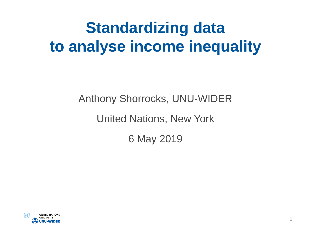## **Standardizing data to analyse income inequality**

Anthony Shorrocks, UNU-WIDER

United Nations, New York

6 May 2019

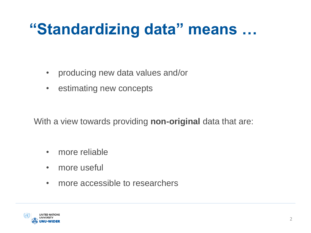### **"Standardizing data" means …**

- producing new data values and/or
- estimating new concepts

With a view towards providing **non-original** data that are:

- more reliable
- more useful
- more accessible to researchers

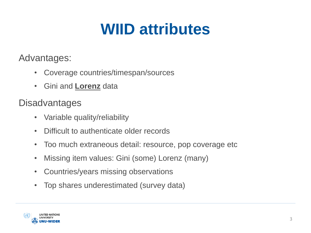### **WIID attributes**

Advantages:

- Coverage countries/timespan/sources
- Gini and **Lorenz** data

**Disadvantages** 

- Variable quality/reliability
- Difficult to authenticate older records
- Too much extraneous detail: resource, pop coverage etc
- Missing item values: Gini (some) Lorenz (many)
- Countries/years missing observations
- Top shares underestimated (survey data)

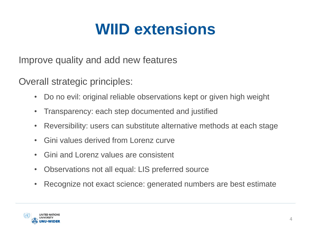### **WIID extensions**

Improve quality and add new features

Overall strategic principles:

- Do no evil: original reliable observations kept or given high weight
- Transparency: each step documented and justified
- Reversibility: users can substitute alternative methods at each stage
- Gini values derived from Lorenz curve
- Gini and Lorenz values are consistent
- Observations not all equal: LIS preferred source
- Recognize not exact science: generated numbers are best estimate

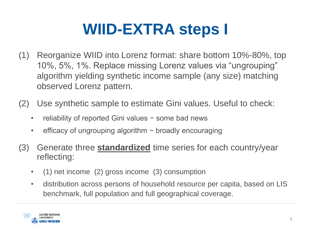## **WIID-EXTRA steps I**

- (1) Reorganize WIID into Lorenz format: share bottom 10%-80%, top 10%, 5%, 1%. Replace missing Lorenz values via "ungrouping" algorithm yielding synthetic income sample (any size) matching observed Lorenz pattern.
- (2) Use synthetic sample to estimate Gini values. Useful to check:
	- reliability of reported Gini values − some bad news
	- efficacy of ungrouping algorithm − broadly encouraging
- (3) Generate three **standardized** time series for each country/year reflecting:
	- (1) net income (2) gross income (3) consumption
	- distribution across persons of household resource per capita, based on LIS benchmark, full population and full geographical coverage.